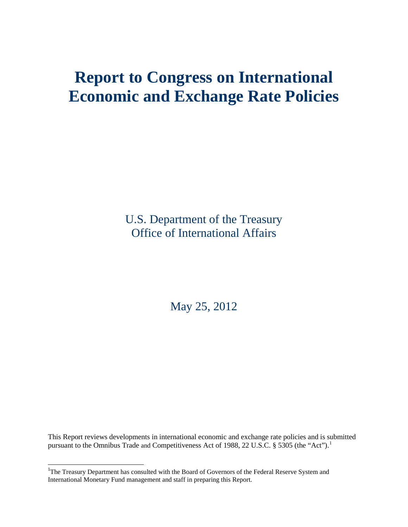# **Report to Congress on International Economic and Exchange Rate Policies**

U.S. Department of the Treasury Office of International Affairs

May 25, 2012

This Report reviews developments in international economic and exchange rate policies and is submitted pursuant to the Omnibus Trade and Competitiveness Act of [1](#page-7-0)988, 22 U.S.C.  $\S$  5305 (the "Act").<sup>1</sup>

<span id="page-0-0"></span><sup>&</sup>lt;sup>1</sup>The Treasury Department has consulted with the Board of Governors of the Federal Reserve System and International Monetary Fund management and staff in preparing this Report.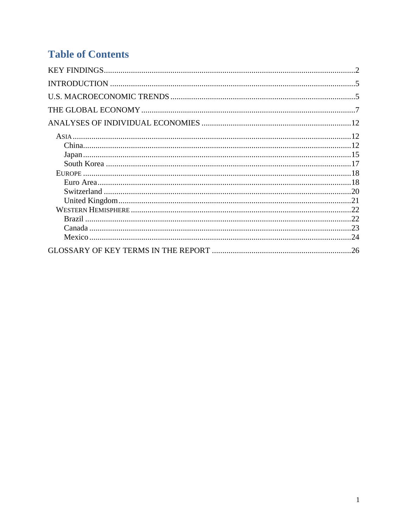## **Table of Contents**

| 12  |
|-----|
|     |
|     |
|     |
|     |
|     |
|     |
|     |
|     |
|     |
|     |
| .24 |
| 26  |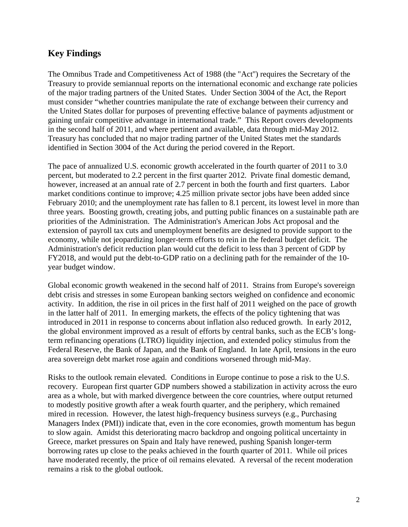## <span id="page-2-0"></span>**Key Findings**

The Omnibus Trade and Competitiveness Act of 1988 (the "Act'') requires the Secretary of the Treasury to provide semiannual reports on the international economic and exchange rate policies of the major trading partners of the United States. Under Section 3004 of the Act, the Report must consider "whether countries manipulate the rate of exchange between their currency and the United States dollar for purposes of preventing effective balance of payments adjustment or gaining unfair competitive advantage in international trade." This Report covers developments in the second half of 2011, and where pertinent and available, data through mid-May 2012. Treasury has concluded that no major trading partner of the United States met the standards identified in Section 3004 of the Act during the period covered in the Report.

The pace of annualized U.S. economic growth accelerated in the fourth quarter of 2011 to 3.0 percent, but moderated to 2.2 percent in the first quarter 2012. Private final domestic demand, however, increased at an annual rate of 2.7 percent in both the fourth and first quarters. Labor market conditions continue to improve; 4.25 million private sector jobs have been added since February 2010; and the unemployment rate has fallen to 8.1 percent, its lowest level in more than three years. Boosting growth, creating jobs, and putting public finances on a sustainable path are priorities of the Administration. The Administration's American Jobs Act proposal and the extension of payroll tax cuts and unemployment benefits are designed to provide support to the economy, while not jeopardizing longer-term efforts to rein in the federal budget deficit. The Administration's deficit reduction plan would cut the deficit to less than 3 percent of GDP by FY2018, and would put the debt-to-GDP ratio on a declining path for the remainder of the 10 year budget window.

Global economic growth weakened in the second half of 2011. Strains from Europe's sovereign debt crisis and stresses in some European banking sectors weighed on confidence and economic activity. In addition, the rise in oil prices in the first half of 2011 weighed on the pace of growth in the latter half of 2011. In emerging markets, the effects of the policy tightening that was introduced in 2011 in response to concerns about inflation also reduced growth. In early 2012, the global environment improved as a result of efforts by central banks, such as the ECB's longterm refinancing operations (LTRO) liquidity injection, and extended policy stimulus from the Federal Reserve, the Bank of Japan, and the Bank of England. In late April, tensions in the euro area sovereign debt market rose again and conditions worsened through mid-May.

Risks to the outlook remain elevated. Conditions in Europe continue to pose a risk to the U.S. recovery. European first quarter GDP numbers showed a stabilization in activity across the euro area as a whole, but with marked divergence between the core countries, where output returned to modestly positive growth after a weak fourth quarter, and the periphery, which remained mired in recession. However, the latest high-frequency business surveys (e.g., Purchasing Managers Index (PMI)) indicate that, even in the core economies, growth momentum has begun to slow again. Amidst this deteriorating macro backdrop and ongoing political uncertainty in Greece, market pressures on Spain and Italy have renewed, pushing Spanish longer-term borrowing rates up close to the peaks achieved in the fourth quarter of 2011. While oil prices have moderated recently, the price of oil remains elevated. A reversal of the recent moderation remains a risk to the global outlook.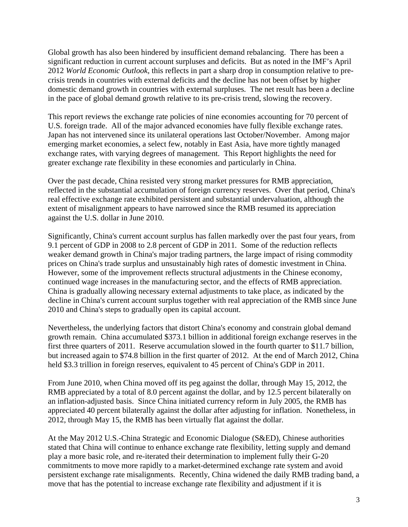Global growth has also been hindered by insufficient demand rebalancing. There has been a significant reduction in current account surpluses and deficits. But as noted in the IMF's April 2012 *World Economic Outlook,* this reflects in part a sharp drop in consumption relative to precrisis trends in countries with external deficits and the decline has not been offset by higher domestic demand growth in countries with external surpluses. The net result has been a decline in the pace of global demand growth relative to its pre-crisis trend, slowing the recovery.

This report reviews the exchange rate policies of nine economies accounting for 70 percent of U.S. foreign trade. All of the major advanced economies have fully flexible exchange rates. Japan has not intervened since its unilateral operations last October/November. Among major emerging market economies, a select few, notably in East Asia, have more tightly managed exchange rates, with varying degrees of management. This Report highlights the need for greater exchange rate flexibility in these economies and particularly in China.

Over the past decade, China resisted very strong market pressures for RMB appreciation, reflected in the substantial accumulation of foreign currency reserves. Over that period, China's real effective exchange rate exhibited persistent and substantial undervaluation, although the extent of misalignment appears to have narrowed since the RMB resumed its appreciation against the U.S. dollar in June 2010.

Significantly, China's current account surplus has fallen markedly over the past four years, from 9.1 percent of GDP in 2008 to 2.8 percent of GDP in 2011. Some of the reduction reflects weaker demand growth in China's major trading partners, the large impact of rising commodity prices on China's trade surplus and unsustainably high rates of domestic investment in China. However, some of the improvement reflects structural adjustments in the Chinese economy, continued wage increases in the manufacturing sector, and the effects of RMB appreciation. China is gradually allowing necessary external adjustments to take place, as indicated by the decline in China's current account surplus together with real appreciation of the RMB since June 2010 and China's steps to gradually open its capital account.

Nevertheless, the underlying factors that distort China's economy and constrain global demand growth remain. China accumulated \$373.1 billion in additional foreign exchange reserves in the first three quarters of 2011. Reserve accumulation slowed in the fourth quarter to \$11.7 billion, but increased again to \$74.8 billion in the first quarter of 2012. At the end of March 2012, China held \$3.3 trillion in foreign reserves, equivalent to 45 percent of China's GDP in 2011.

From June 2010, when China moved off its peg against the dollar, through May 15, 2012, the RMB appreciated by a total of 8.0 percent against the dollar, and by 12.5 percent bilaterally on an inflation-adjusted basis. Since China initiated currency reform in July 2005, the RMB has appreciated 40 percent bilaterally against the dollar after adjusting for inflation. Nonetheless, in 2012, through May 15, the RMB has been virtually flat against the dollar.

At the May 2012 U.S.-China Strategic and Economic Dialogue (S&ED), Chinese authorities stated that China will continue to enhance exchange rate flexibility, letting supply and demand play a more basic role, and re-iterated their determination to implement fully their G-20 commitments to move more rapidly to a market-determined exchange rate system and avoid persistent exchange rate misalignments. Recently, China widened the daily RMB trading band, a move that has the potential to increase exchange rate flexibility and adjustment if it is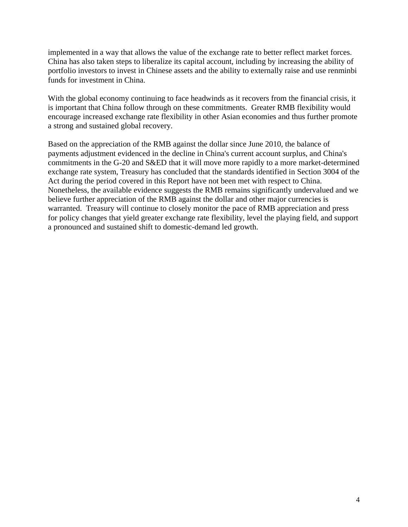implemented in a way that allows the value of the exchange rate to better reflect market forces. China has also taken steps to liberalize its capital account, including by increasing the ability of portfolio investors to invest in Chinese assets and the ability to externally raise and use renminbi funds for investment in China.

With the global economy continuing to face headwinds as it recovers from the financial crisis, it is important that China follow through on these commitments. Greater RMB flexibility would encourage increased exchange rate flexibility in other Asian economies and thus further promote a strong and sustained global recovery.

Based on the appreciation of the RMB against the dollar since June 2010, the balance of payments adjustment evidenced in the decline in China's current account surplus, and China's commitments in the G-20 and S&ED that it will move more rapidly to a more market-determined exchange rate system, Treasury has concluded that the standards identified in Section 3004 of the Act during the period covered in this Report have not been met with respect to China. Nonetheless, the available evidence suggests the RMB remains significantly undervalued and we believe further appreciation of the RMB against the dollar and other major currencies is warranted. Treasury will continue to closely monitor the pace of RMB appreciation and press for policy changes that yield greater exchange rate flexibility, level the playing field, and support a pronounced and sustained shift to domestic-demand led growth.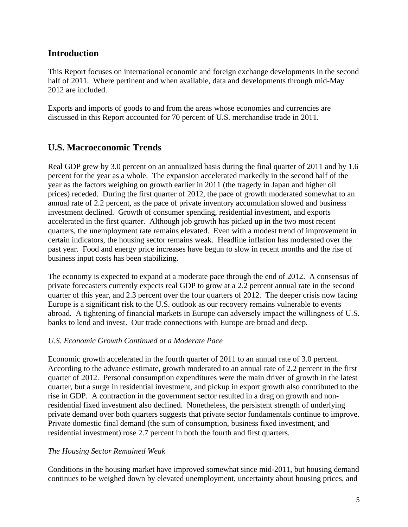## <span id="page-5-0"></span>**Introduction**

This Report focuses on international economic and foreign exchange developments in the second half of 2011. Where pertinent and when available, data and developments through mid-May 2012 are included.

Exports and imports of goods to and from the areas whose economies and currencies are discussed in this Report accounted for 70 percent of U.S. merchandise trade in 2011.

## <span id="page-5-1"></span>**U.S. Macroeconomic Trends**

Real GDP grew by 3.0 percent on an annualized basis during the final quarter of 2011 and by 1.6 percent for the year as a whole. The expansion accelerated markedly in the second half of the year as the factors weighing on growth earlier in 2011 (the tragedy in Japan and higher oil prices) receded. During the first quarter of 2012, the pace of growth moderated somewhat to an annual rate of 2.2 percent, as the pace of private inventory accumulation slowed and business investment declined. Growth of consumer spending, residential investment, and exports accelerated in the first quarter. Although job growth has picked up in the two most recent quarters, the unemployment rate remains elevated. Even with a modest trend of improvement in certain indicators, the housing sector remains weak. Headline inflation has moderated over the past year. Food and energy price increases have begun to slow in recent months and the rise of business input costs has been stabilizing.

The economy is expected to expand at a moderate pace through the end of 2012. A consensus of private forecasters currently expects real GDP to grow at a 2.2 percent annual rate in the second quarter of this year, and 2.3 percent over the four quarters of 2012. The deeper crisis now facing Europe is a significant risk to the U.S. outlook as our recovery remains vulnerable to events abroad. A tightening of financial markets in Europe can adversely impact the willingness of U.S. banks to lend and invest. Our trade connections with Europe are broad and deep.

## *U.S. Economic Growth Continued at a Moderate Pace*

Economic growth accelerated in the fourth quarter of 2011 to an annual rate of 3.0 percent. According to the advance estimate, growth moderated to an annual rate of 2.2 percent in the first quarter of 2012. Personal consumption expenditures were the main driver of growth in the latest quarter, but a surge in residential investment, and pickup in export growth also contributed to the rise in GDP. A contraction in the government sector resulted in a drag on growth and nonresidential fixed investment also declined. Nonetheless, the persistent strength of underlying private demand over both quarters suggests that private sector fundamentals continue to improve. Private domestic final demand (the sum of consumption, business fixed investment, and residential investment) rose 2.7 percent in both the fourth and first quarters.

## *The Housing Sector Remained Weak*

Conditions in the housing market have improved somewhat since mid-2011, but housing demand continues to be weighed down by elevated unemployment, uncertainty about housing prices, and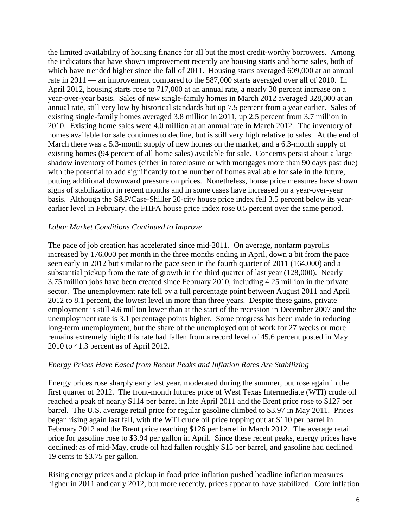the limited availability of housing finance for all but the most credit-worthy borrowers. Among the indicators that have shown improvement recently are housing starts and home sales, both of which have trended higher since the fall of 2011. Housing starts averaged 609,000 at an annual rate in 2011 — an improvement compared to the 587,000 starts averaged over all of 2010. In April 2012, housing starts rose to 717,000 at an annual rate, a nearly 30 percent increase on a year-over-year basis. Sales of new single-family homes in March 2012 averaged 328,000 at an annual rate, still very low by historical standards but up 7.5 percent from a year earlier. Sales of existing single-family homes averaged 3.8 million in 2011, up 2.5 percent from 3.7 million in 2010. Existing home sales were 4.0 million at an annual rate in March 2012. The inventory of homes available for sale continues to decline, but is still very high relative to sales. At the end of March there was a 5.3-month supply of new homes on the market, and a 6.3-month supply of existing homes (94 percent of all home sales) available for sale. Concerns persist about a large shadow inventory of homes (either in foreclosure or with mortgages more than 90 days past due) with the potential to add significantly to the number of homes available for sale in the future, putting additional downward pressure on prices. Nonetheless, house price measures have shown signs of stabilization in recent months and in some cases have increased on a year-over-year basis. Although the S&P/Case-Shiller 20-city house price index fell 3.5 percent below its yearearlier level in February, the FHFA house price index rose 0.5 percent over the same period.

#### *Labor Market Conditions Continued to Improve*

The pace of job creation has accelerated since mid-2011. On average, nonfarm payrolls increased by 176,000 per month in the three months ending in April, down a bit from the pace seen early in 2012 but similar to the pace seen in the fourth quarter of 2011 (164,000) and a substantial pickup from the rate of growth in the third quarter of last year (128,000). Nearly 3.75 million jobs have been created since February 2010, including 4.25 million in the private sector. The unemployment rate fell by a full percentage point between August 2011 and April 2012 to 8.1 percent, the lowest level in more than three years. Despite these gains, private employment is still 4.6 million lower than at the start of the recession in December 2007 and the unemployment rate is 3.1 percentage points higher. Some progress has been made in reducing long-term unemployment, but the share of the unemployed out of work for 27 weeks or more remains extremely high: this rate had fallen from a record level of 45.6 percent posted in May 2010 to 41.3 percent as of April 2012.

#### *Energy Prices Have Eased from Recent Peaks and Inflation Rates Are Stabilizing*

Energy prices rose sharply early last year, moderated during the summer, but rose again in the first quarter of 2012. The front-month futures price of West Texas Intermediate (WTI) crude oil reached a peak of nearly \$114 per barrel in late April 2011 and the Brent price rose to \$127 per barrel. The U.S. average retail price for regular gasoline climbed to \$3.97 in May 2011. Prices began rising again last fall, with the WTI crude oil price topping out at \$110 per barrel in February 2012 and the Brent price reaching \$126 per barrel in March 2012. The average retail price for gasoline rose to \$3.94 per gallon in April. Since these recent peaks, energy prices have declined: as of mid-May, crude oil had fallen roughly \$15 per barrel, and gasoline had declined 19 cents to \$3.75 per gallon.

Rising energy prices and a pickup in food price inflation pushed headline inflation measures higher in 2011 and early 2012, but more recently, prices appear to have stabilized. Core inflation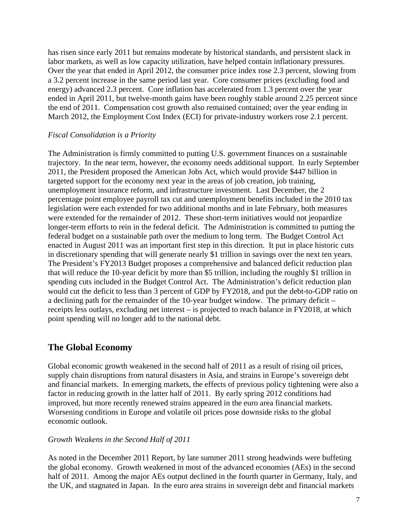has risen since early 2011 but remains moderate by historical standards, and persistent slack in labor markets, as well as low capacity utilization, have helped contain inflationary pressures. Over the year that ended in April 2012, the consumer price index rose 2.3 percent, slowing from a 3.2 percent increase in the same period last year. Core consumer prices (excluding food and energy) advanced 2.3 percent. Core inflation has accelerated from 1.3 percent over the year ended in April 2011, but twelve-month gains have been roughly stable around 2.25 percent since the end of 2011. Compensation cost growth also remained contained; over the year ending in March 2012, the Employment Cost Index (ECI) for private-industry workers rose 2.1 percent.

#### *Fiscal Consolidation is a Priority*

The Administration is firmly committed to putting U.S. government finances on a sustainable trajectory. In the near term, however, the economy needs additional support. In early September 2011, the President proposed the American Jobs Act, which would provide \$447 billion in targeted support for the economy next year in the areas of job creation, job training, unemployment insurance reform, and infrastructure investment. Last December, the 2 percentage point employee payroll tax cut and unemployment benefits included in the 2010 tax legislation were each extended for two additional months and in late February, both measures were extended for the remainder of 2012. These short-term initiatives would not jeopardize longer-term efforts to rein in the federal deficit. The Administration is committed to putting the federal budget on a sustainable path over the medium to long term. The Budget Control Act enacted in August 2011 was an important first step in this direction. It put in place historic cuts in discretionary spending that will generate nearly \$1 trillion in savings over the next ten years. The President's FY2013 Budget proposes a comprehensive and balanced deficit reduction plan that will reduce the 10-year deficit by more than \$5 trillion, including the roughly \$1 trillion in spending cuts included in the Budget Control Act. The Administration's deficit reduction plan would cut the deficit to less than 3 percent of GDP by FY2018, and put the debt-to-GDP ratio on a declining path for the remainder of the 10-year budget window. The primary deficit – receipts less outlays, excluding net interest – is projected to reach balance in FY2018, at which point spending will no longer add to the national debt.

## <span id="page-7-1"></span>**The Global Economy**

Global economic growth weakened in the second half of 2011 as a result of rising oil prices, supply chain disruptions from natural disasters in Asia, and strains in Europe's sovereign debt and financial markets. In emerging markets, the effects of previous policy tightening were also a factor in reducing growth in the latter half of 2011. By early spring 2012 conditions had improved, but more recently renewed strains appeared in the euro area financial markets. Worsening conditions in Europe and volatile oil prices pose downside risks to the global economic outlook.

#### *Growth Weakens in the Second Half of 2011*

<span id="page-7-0"></span>As noted in the December 2011 Report, by late summer 2011 strong headwinds were buffeting the global economy. Growth weakened in most of the advanced economies (AEs) in the second half of 2011. Among the major AEs output declined in the fourth quarter in Germany, Italy, and the UK, and stagnated in Japan. In the euro area strains in sovereign debt and financial markets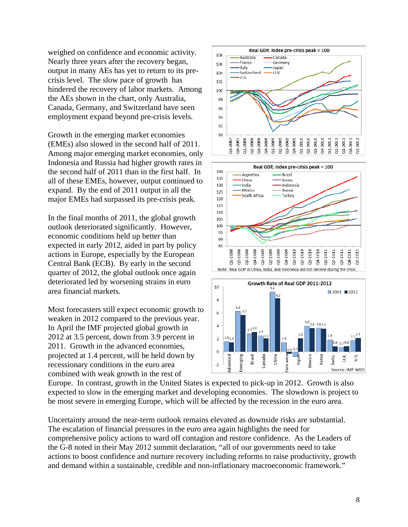weighed on confidence and economic activity. Nearly three years after the recovery began, output in many AEs has yet to return to its precrisis level. The slow pace of growth has hindered the recovery of labor markets. Among the AEs shown in the chart, only Australia, Canada, Germany, and Switzerland have seen employment expand beyond pre-crisis levels.

Growth in the emerging market economies (EMEs) also slowed in the second half of 2011. Among major emerging market economies, only Indonesia and Russia had higher growth rates in the second half of 2011 than in the first half. In all of these EMEs, however, output continued to expand. By the end of 2011 output in all the major EMEs had surpassed its pre-crisis peak.

In the final months of 2011, the global growth outlook deteriorated significantly. However, economic conditions held up better than expected in early 2012, aided in part by policy actions in Europe, especially by the European Central Bank (ECB). By early in the second quarter of 2012, the global outlook once again deteriorated led by worsening strains in euro area financial markets.

Most forecasters still expect economic growth to weaken in 2012 compared to the previous year. In April the IMF projected global growth in 2012 at 3.5 percent, down from 3.9 percent in 2011. Growth in the advanced economies, projected at 1.4 percent, will be held down by recessionary conditions in the euro area combined with weak growth in the rest of



Europe. In contrast, growth in the United States is expected to pick-up in 2012. Growth is also expected to slow in the emerging market and developing economies. The slowdown is project to be most severe in emerging Europe, which will be affected by the recession in the euro area.

Uncertainty around the near-term outlook remains elevated as downside risks are substantial. The escalation of financial pressures in the euro area again highlights the need for comprehensive policy actions to ward off contagion and restore confidence. As the Leaders of the G-8 noted in their May 2012 summit declaration, "all of our governments need to take actions to boost confidence and nurture recovery including reforms to raise productivity, growth and demand within a sustainable, credible and non-inflationary macroeconomic framework."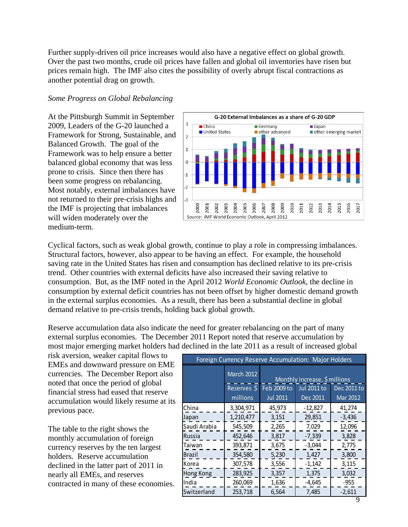Further supply-driven oil price increases would also have a negative effect on global growth. Over the past two months, crude oil prices have fallen and global oil inventories have risen but prices remain high. The IMF also cites the possibility of overly abrupt fiscal contractions as another potential drag on growth.

#### *Some Progress on Global Rebalancing*

At the Pittsburgh Summit in September 2009, Leaders of the G-20 launched a Framework for Strong, Sustainable, and Balanced Growth. The goal of the Framework was to help ensure a better balanced global economy that was less prone to crisis. Since then there has been some progress on rebalancing. Most notably, external imbalances have not returned to their pre-crisis highs and the IMF is projecting that imbalances will widen moderately over the medium-term.



Cyclical factors, such as weak global growth, continue to play a role in compressing imbalances. Structural factors, however, also appear to be having an effect. For example, the household saving rate in the United States has risen and consumption has declined relative to its pre-crisis trend. Other countries with external deficits have also increased their saving relative to consumption. But, as the IMF noted in the April 2012 *World Economic Outlook*, the decline in consumption by external deficit countries has not been offset by higher domestic demand growth in the external surplus economies. As a result, there has been a substantial decline in global demand relative to pre-crisis trends, holding back global growth.

Reserve accumulation data also indicate the need for greater rebalancing on the part of many external surplus economies. The December 2011 Report noted that reserve accumulation by most major emerging market holders had declined in the late 2011 as a result of increased global

risk aversion, weaker capital flows to EMEs and downward pressure on EME currencies. The December Report also noted that once the period of global financial stress had eased that reserve accumulation would likely resume at its previous pace.

The table to the right shows the monthly accumulation of foreign currency reserves by the ten largest holders. Reserve accumulation declined in the latter part of 2011 in nearly all EMEs, and reserves contracted in many of these economies.

| Foreign Currency Reserve Accumulation: Major Holders |             |                               |                    |                 |  |  |  |  |  |
|------------------------------------------------------|-------------|-------------------------------|--------------------|-----------------|--|--|--|--|--|
|                                                      | March 2012  | Monthly increase, \$ millions |                    |                 |  |  |  |  |  |
|                                                      | Reserves \$ | Feb 2009 to                   | <b>Jul 2011 to</b> | Dec 2011 to     |  |  |  |  |  |
|                                                      | millions    | <b>Jul 2011</b>               | Dec 2011           | <b>Mar 2012</b> |  |  |  |  |  |
| <b>China</b>                                         | 3,304,971   | 45,973                        | $-12,827$          | 41,274          |  |  |  |  |  |
| Japan                                                | 1,210,477   | 3,151                         | 29,851             | $-3,436$        |  |  |  |  |  |
| Saudi Arabia                                         | 545,509     | 2,265                         | 7,029              | 12,096          |  |  |  |  |  |
| <b>Russia</b>                                        | 452,646     | 3,817                         | $-7,339$           | 3,828           |  |  |  |  |  |
| Taiwan                                               | 393,871     | 3,675                         | $-3,044$           | 2,775           |  |  |  |  |  |
| <b>Brazil</b>                                        | 354,580     | 5,230                         | 1,427              | 3,800           |  |  |  |  |  |
| Korea                                                | 307,578     | 3,556                         | $-1,142$           | 3,115           |  |  |  |  |  |
| <b>Hong Kong</b>                                     | 283,925     | 3,357                         | 1,375              | 3,032           |  |  |  |  |  |
| India                                                | 260,069     | 1,636                         | $-4,645$           | $-955$          |  |  |  |  |  |
| Switzerland                                          | 253,718     | 6,564                         | 7,485              | $-2,611$        |  |  |  |  |  |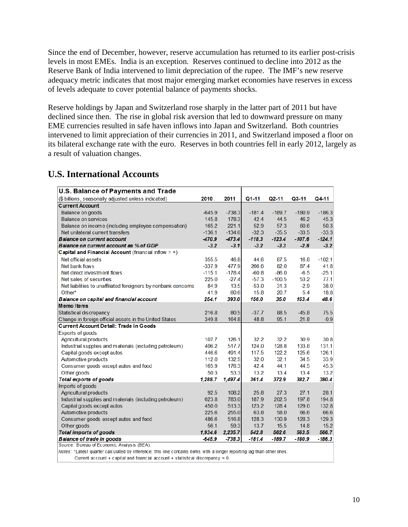Since the end of December, however, reserve accumulation has returned to its earlier post-crisis levels in most EMEs. India is an exception. Reserves continued to decline into 2012 as the Reserve Bank of India intervened to limit depreciation of the rupee. The IMF's new reserve adequacy metric indicates that most major emerging market economies have reserves in excess of levels adequate to cover potential balance of payments shocks.

Reserve holdings by Japan and Switzerland rose sharply in the latter part of 2011 but have declined since then. The rise in global risk aversion that led to downward pressure on many EME currencies resulted in safe haven inflows into Japan and Switzerland. Both countries intervened to limit appreciation of their currencies in 2011, and Switzerland imposed a floor on its bilateral exchange rate with the euro. Reserves in both countries fell in early 2012, largely as a result of valuation changes.

## **U.S. International Accounts**

| <b>U.S. Balance of Payments and Trade</b>                                                                              |          |          |           |           |          |          |
|------------------------------------------------------------------------------------------------------------------------|----------|----------|-----------|-----------|----------|----------|
| (\$ billions, seasonally adjusted unless indicated)                                                                    | 2010     | 2011     | $Q1 - 11$ | $Q2 - 11$ | $Q3-11$  | Q4-11    |
| <b>Current Account</b>                                                                                                 |          |          |           |           |          |          |
| <b>Balance on goods</b>                                                                                                | $-645.9$ | $-738.3$ | $-181.4$  | $-189.7$  | $-180.9$ | $-186.3$ |
| <b>Balance on services</b>                                                                                             | 145.8    | 178.3    | 42.4      | 44.5      | 46.2     | 45.3     |
| Balance on income (including employee compensation)                                                                    | 165.2    | 221.1    | 52.9      | 57.3      | 60.6     | 50.3     |
| Net unilateral current transfers                                                                                       | $-136.1$ | $-134.6$ | $-32.3$   | $-35.5$   | $-33.5$  | $-33.3$  |
| <b>Balance on current account</b>                                                                                      | $-470.9$ | $-473.4$ | $-118.3$  | $-123.4$  | $-107.6$ | $-124.1$ |
| Balance on current account as % of GDP                                                                                 | $-3.2$   | $-3.1$   | $-3.2$    | $-3.3$    | $-2.8$   | $-3.2$   |
| Capital and Financial Account (financial inflow $= +$ )                                                                |          |          |           |           |          |          |
| Net official assets                                                                                                    | 355.5    | 46.8     | 44.6      | 87.5      | 16.8     | $-102.1$ |
| Net bank flows                                                                                                         | $-337.9$ | 477.9    | 266.6     | 82.0      | 87.4     | 41.8     |
| Net direct investment flows                                                                                            | $-115.1$ | $-178.4$ | $-60.8$   | $-86.0$   | $-6.5$   | $-25.1$  |
| Net sales of securities                                                                                                | 225.0    | $-27.4$  | $-57.3$   | $-100.5$  | 53.2     | 77.1     |
| Net liabilities to unaffiliated foreigners by nonbank concerns                                                         | 84.9     | 13.5     | $-53.0$   | 31.3      | $-2.9$   | 38.0     |
| Other*                                                                                                                 | 41.9     | 60.6     | 15.8      | 20.7      | 5.4      | 18.8     |
| Balance on capital and financial account                                                                               | 254.1    | 393.0    | 156.0     | 35.0      | 153.4    | 48.6     |
| <b>Memoltems</b>                                                                                                       |          |          |           |           |          |          |
| <b>Statistical discrepancy</b>                                                                                         | 216.8    | 80.5     | $-37.7$   | 88.5      | $-45.8$  | 75.5     |
| Change in foreign official assets in the United States                                                                 | 349.8    | 164.8    | 48.8      | 95.1      | 21.8     | $-0.9$   |
| <b>Current Account Detail: Trade in Goods</b>                                                                          |          |          |           |           |          |          |
| <b>Exports of goods</b>                                                                                                |          |          |           |           |          |          |
| <b>Agricultural products</b>                                                                                           | 107.7    | 126.1    | 32.2      | 32.2      | 30.9     | 30.8     |
| Industrial supplies and materials (including petroleum)                                                                | 406.2    | 517.7    | 124.0     | 128.8     | 133.8    | 131.1    |
| Capital goods except autos                                                                                             | 446.6    | 491.4    | 117.5     | 122.2     | 125.6    | 126.1    |
| Autom otive products                                                                                                   | 112.0    | 132.5    | 32.0      | 32.1      | 34.5     | 33.9     |
| Consumer goods except autos and food                                                                                   | 165.9    | 176.3    | 42.4      | 44.1      | 44.5     | 45.3     |
| Other goods                                                                                                            | 50.3     | 53.3     | 13.2      | 13.4      | 13.4     | 13.2     |
| <b>Total exports of goods</b>                                                                                          | 1,288.7  | 1,497.4  | 361.4     | 372.9     | 382.7    | 380.4    |
| Imports of goods                                                                                                       |          |          |           |           |          |          |
| <b>Agricultural products</b>                                                                                           | 92.5     | 108.2    | 25.8      | 27.3      | 27.1     | 28.1     |
| Industrial supplies and materials (including petroleum)                                                                | 623.8    | 783.0    | 187.9     | 202.5     | 197.8    | 194.8    |
| Capital goods except autos                                                                                             | 450.0    | 513.3    | 123.2     | 128.4     | 129.0    | 132.8    |
| Autom otive products                                                                                                   | 225.6    | 255.0    | 63.8      | 58.0      | 66.6     | 66.6     |
| Consumer goods except autos and food                                                                                   | 486.6    | 516.8    | 128.3     | 130.9     | 128.3    | 129.3    |
| Other goods                                                                                                            | 56.1     | 59.3     | 13.7      | 15.5      | 14.8     | 15.2     |
| <b>Total imports of goods</b>                                                                                          | 1,934.6  | 2,235.7  | 542.8     | 562.6     | 563.5    | 566.7    |
| <b>Balance of trade in goods</b>                                                                                       | $-645.9$ | $-738.3$ | $-181.4$  | $-189.7$  | $-180.9$ | $-186.3$ |
| Source: Bureau of Economic Analysis (BEA).                                                                             |          |          |           |           |          |          |
| Notes: *I atest quarter calculated by inference: this line contains items with a longer reporting lag than other lines |          |          |           |           |          |          |

Current account + capital and financial account + statistical discrepancy = 0.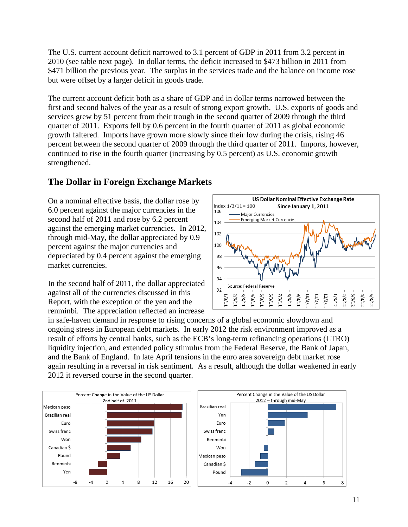The U.S. current account deficit narrowed to 3.1 percent of GDP in 2011 from 3.2 percent in 2010 (see table next page). In dollar terms, the deficit increased to \$473 billion in 2011 from \$471 billion the previous year. The surplus in the services trade and the balance on income rose but were offset by a larger deficit in goods trade.

The current account deficit both as a share of GDP and in dollar terms narrowed between the first and second halves of the year as a result of strong export growth. U.S. exports of goods and services grew by 51 percent from their trough in the second quarter of 2009 through the third quarter of 2011. Exports fell by 0.6 percent in the fourth quarter of 2011 as global economic growth faltered. Imports have grown more slowly since their low during the crisis, rising 46 percent between the second quarter of 2009 through the third quarter of 2011. Imports, however, continued to rise in the fourth quarter (increasing by 0.5 percent) as U.S. economic growth strengthened.

## **The Dollar in Foreign Exchange Markets**

On a nominal effective basis, the dollar rose by 6.0 percent against the major currencies in the second half of 2011 and rose by 6.2 percent against the emerging market currencies. In 2012, through mid-May, the dollar appreciated by 0.9 percent against the major currencies and depreciated by 0.4 percent against the emerging market currencies.

In the second half of 2011, the dollar appreciated against all of the currencies discussed in this Report, with the exception of the yen and the renminbi. The appreciation reflected an increase



in safe-haven demand in response to rising concerns of a global economic slowdown and ongoing stress in European debt markets. In early 2012 the risk environment improved as a result of efforts by central banks, such as the ECB's long-term refinancing operations (LTRO) liquidity injection, and extended policy stimulus from the Federal Reserve, the Bank of Japan, and the Bank of England. In late April tensions in the euro area sovereign debt market rose again resulting in a reversal in risk sentiment. As a result, although the dollar weakened in early 2012 it reversed course in the second quarter.

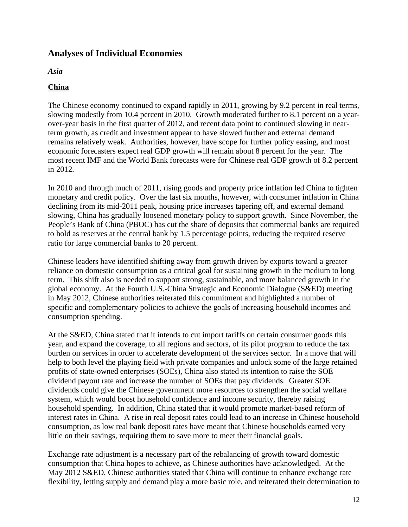## <span id="page-12-0"></span>**Analyses of Individual Economies**

<span id="page-12-1"></span>*Asia*

## <span id="page-12-2"></span>**China**

The Chinese economy continued to expand rapidly in 2011, growing by 9.2 percent in real terms, slowing modestly from 10.4 percent in 2010. Growth moderated further to 8.1 percent on a yearover-year basis in the first quarter of 2012, and recent data point to continued slowing in nearterm growth, as credit and investment appear to have slowed further and external demand remains relatively weak. Authorities, however, have scope for further policy easing, and most economic forecasters expect real GDP growth will remain about 8 percent for the year. The most recent IMF and the World Bank forecasts were for Chinese real GDP growth of 8.2 percent in 2012.

In 2010 and through much of 2011, rising goods and property price inflation led China to tighten monetary and credit policy. Over the last six months, however, with consumer inflation in China declining from its mid-2011 peak, housing price increases tapering off, and external demand slowing, China has gradually loosened monetary policy to support growth. Since November, the People's Bank of China (PBOC) has cut the share of deposits that commercial banks are required to hold as reserves at the central bank by 1.5 percentage points, reducing the required reserve ratio for large commercial banks to 20 percent.

Chinese leaders have identified shifting away from growth driven by exports toward a greater reliance on domestic consumption as a critical goal for sustaining growth in the medium to long term. This shift also is needed to support strong, sustainable, and more balanced growth in the global economy. At the Fourth U.S.-China Strategic and Economic Dialogue (S&ED) meeting in May 2012, Chinese authorities reiterated this commitment and highlighted a number of specific and complementary policies to achieve the goals of increasing household incomes and consumption spending.

At the S&ED, China stated that it intends to cut import tariffs on certain consumer goods this year, and expand the coverage, to all regions and sectors, of its pilot program to reduce the tax burden on services in order to accelerate development of the services sector. In a move that will help to both level the playing field with private companies and unlock some of the large retained profits of state-owned enterprises (SOEs), China also stated its intention to raise the SOE dividend payout rate and increase the number of SOEs that pay dividends. Greater SOE dividends could give the Chinese government more resources to strengthen the social welfare system, which would boost household confidence and income security, thereby raising household spending. In addition, China stated that it would promote market-based reform of interest rates in China. A rise in real deposit rates could lead to an increase in Chinese household consumption, as low real bank deposit rates have meant that Chinese households earned very little on their savings, requiring them to save more to meet their financial goals.

Exchange rate adjustment is a necessary part of the rebalancing of growth toward domestic consumption that China hopes to achieve, as Chinese authorities have acknowledged. At the May 2012 S&ED, Chinese authorities stated that China will continue to enhance exchange rate flexibility, letting supply and demand play a more basic role, and reiterated their determination to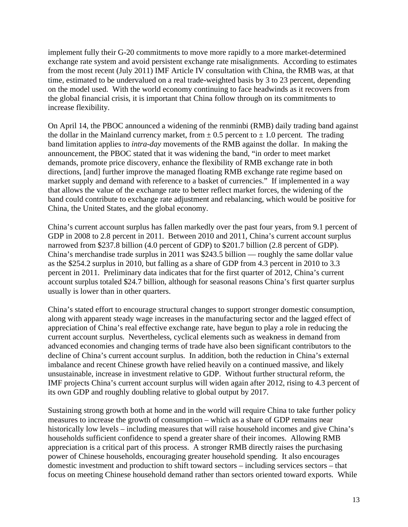implement fully their G-20 commitments to move more rapidly to a more market-determined exchange rate system and avoid persistent exchange rate misalignments. According to estimates from the most recent (July 2011) IMF Article IV consultation with China, the RMB was, at that time, estimated to be undervalued on a real trade-weighted basis by 3 to 23 percent, depending on the model used. With the world economy continuing to face headwinds as it recovers from the global financial crisis, it is important that China follow through on its commitments to increase flexibility.

On April 14, the PBOC announced a widening of the renminbi (RMB) daily trading band against the dollar in the Mainland currency market, from  $\pm$  0.5 percent to  $\pm$  1.0 percent. The trading band limitation applies to *intra-day* movements of the RMB against the dollar. In making the announcement, the PBOC stated that it was widening the band, "in order to meet market demands, promote price discovery, enhance the flexibility of RMB exchange rate in both directions, [and] further improve the managed floating RMB exchange rate regime based on market supply and demand with reference to a basket of currencies." If implemented in a way that allows the value of the exchange rate to better reflect market forces, the widening of the band could contribute to exchange rate adjustment and rebalancing, which would be positive for China, the United States, and the global economy.

China's current account surplus has fallen markedly over the past four years, from 9.1 percent of GDP in 2008 to 2.8 percent in 2011. Between 2010 and 2011, China's current account surplus narrowed from \$237.8 billion (4.0 percent of GDP) to \$201.7 billion (2.8 percent of GDP). China's merchandise trade surplus in 2011 was \$243.5 billion — roughly the same dollar value as the \$254.2 surplus in 2010, but falling as a share of GDP from 4.3 percent in 2010 to 3.3 percent in 2011. Preliminary data indicates that for the first quarter of 2012, China's current account surplus totaled \$24.7 billion, although for seasonal reasons China's first quarter surplus usually is lower than in other quarters.

China's stated effort to encourage structural changes to support stronger domestic consumption, along with apparent steady wage increases in the manufacturing sector and the lagged effect of appreciation of China's real effective exchange rate, have begun to play a role in reducing the current account surplus. Nevertheless, cyclical elements such as weakness in demand from advanced economies and changing terms of trade have also been significant contributors to the decline of China's current account surplus. In addition, both the reduction in China's external imbalance and recent Chinese growth have relied heavily on a continued massive, and likely unsustainable, increase in investment relative to GDP. Without further structural reform, the IMF projects China's current account surplus will widen again after 2012, rising to 4.3 percent of its own GDP and roughly doubling relative to global output by 2017.

Sustaining strong growth both at home and in the world will require China to take further policy measures to increase the growth of consumption – which as a share of GDP remains near historically low levels – including measures that will raise household incomes and give China's households sufficient confidence to spend a greater share of their incomes. Allowing RMB appreciation is a critical part of this process. A stronger RMB directly raises the purchasing power of Chinese households, encouraging greater household spending. It also encourages domestic investment and production to shift toward sectors – including services sectors – that focus on meeting Chinese household demand rather than sectors oriented toward exports. While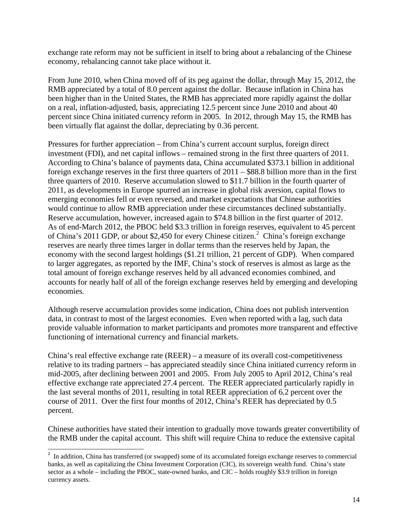exchange rate reform may not be sufficient in itself to bring about a rebalancing of the Chinese economy, rebalancing cannot take place without it.

From June 2010, when China moved off of its peg against the dollar, through May 15, 2012, the RMB appreciated by a total of 8.0 percent against the dollar. Because inflation in China has been higher than in the United States, the RMB has appreciated more rapidly against the dollar on a real, inflation-adjusted, basis, appreciating 12.5 percent since June 2010 and about 40 percent since China initiated currency reform in 2005. In 2012, through May 15, the RMB has been virtually flat against the dollar, depreciating by 0.36 percent.

Pressures for further appreciation – from China's current account surplus, foreign direct investment (FDI), and net capital inflows – remained strong in the first three quarters of 2011. According to China's balance of payments data, China accumulated \$373.1 billion in additional foreign exchange reserves in the first three quarters of 2011 – \$88.8 billion more than in the first three quarters of 2010. Reserve accumulation slowed to \$11.7 billion in the fourth quarter of 2011, as developments in Europe spurred an increase in global risk aversion, capital flows to emerging economies fell or even reversed, and market expectations that Chinese authorities would continue to allow RMB appreciation under these circumstances declined substantially. Reserve accumulation, however, increased again to \$74.8 billion in the first quarter of 2012. As of end-March 2012, the PBOC held \$3.3 trillion in foreign reserves, equivalent to 45 percent of China's [2](#page-0-0)011 GDP, or about \$2,450 for every Chinese citizen.<sup>2</sup> China's foreign exchange reserves are nearly three times larger in dollar terms than the reserves held by Japan, the economy with the second largest holdings (\$1.21 trillion, 21 percent of GDP). When compared to larger aggregates, as reported by the IMF, China's stock of reserves is almost as large as the total amount of foreign exchange reserves held by all advanced economies combined, and accounts for nearly half of all of the foreign exchange reserves held by emerging and developing economies.

Although reserve accumulation provides some indication, China does not publish intervention data, in contrast to most of the largest economies. Even when reported with a lag, such data provide valuable information to market participants and promotes more transparent and effective functioning of international currency and financial markets.

China's real effective exchange rate  $(REER) - a$  measure of its overall cost-competitiveness relative to its trading partners – has appreciated steadily since China initiated currency reform in mid-2005, after declining between 2001 and 2005. From July 2005 to April 2012, China's real effective exchange rate appreciated 27.4 percent. The REER appreciated particularly rapidly in the last several months of 2011, resulting in total REER appreciation of 6.2 percent over the course of 2011. Over the first four months of 2012, China's REER has depreciated by 0.5 percent.

Chinese authorities have stated their intention to gradually move towards greater convertibility of the RMB under the capital account. This shift will require China to reduce the extensive capital

<span id="page-14-0"></span><sup>&</sup>lt;sup>2</sup> In addition, China has transferred (or swapped) some of its accumulated foreign exchange reserves to commercial banks, as well as capitalizing the China Investment Corporation (CIC), its sovereign wealth fund. China's state sector as a whole – including the PBOC, state-owned banks, and CIC – holds roughly \$3.9 trillion in foreign currency assets.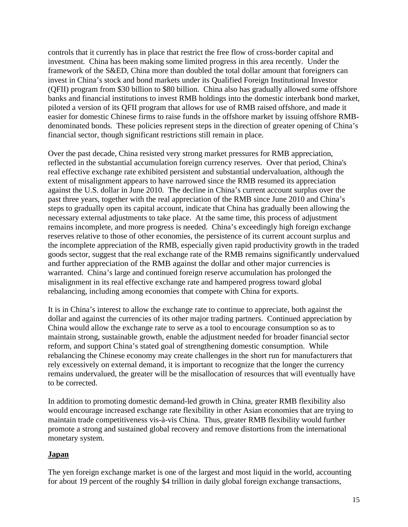controls that it currently has in place that restrict the free flow of cross-border capital and investment. China has been making some limited progress in this area recently. Under the framework of the S&ED, China more than doubled the total dollar amount that foreigners can invest in China's stock and bond markets under its Qualified Foreign Institutional Investor (QFII) program from \$30 billion to \$80 billion. China also has gradually allowed some offshore banks and financial institutions to invest RMB holdings into the domestic interbank bond market, piloted a version of its QFII program that allows for use of RMB raised offshore, and made it easier for domestic Chinese firms to raise funds in the offshore market by issuing offshore RMBdenominated bonds. These policies represent steps in the direction of greater opening of China's financial sector, though significant restrictions still remain in place.

Over the past decade, China resisted very strong market pressures for RMB appreciation, reflected in the substantial accumulation foreign currency reserves. Over that period, China's real effective exchange rate exhibited persistent and substantial undervaluation, although the extent of misalignment appears to have narrowed since the RMB resumed its appreciation against the U.S. dollar in June 2010. The decline in China's current account surplus over the past three years, together with the real appreciation of the RMB since June 2010 and China's steps to gradually open its capital account, indicate that China has gradually been allowing the necessary external adjustments to take place. At the same time, this process of adjustment remains incomplete, and more progress is needed. China's exceedingly high foreign exchange reserves relative to those of other economies, the persistence of its current account surplus and the incomplete appreciation of the RMB, especially given rapid productivity growth in the traded goods sector, suggest that the real exchange rate of the RMB remains significantly undervalued and further appreciation of the RMB against the dollar and other major currencies is warranted. China's large and continued foreign reserve accumulation has prolonged the misalignment in its real effective exchange rate and hampered progress toward global rebalancing, including among economies that compete with China for exports.

It is in China's interest to allow the exchange rate to continue to appreciate, both against the dollar and against the currencies of its other major trading partners. Continued appreciation by China would allow the exchange rate to serve as a tool to encourage consumption so as to maintain strong, sustainable growth, enable the adjustment needed for broader financial sector reform, and support China's stated goal of strengthening domestic consumption. While rebalancing the Chinese economy may create challenges in the short run for manufacturers that rely excessively on external demand, it is important to recognize that the longer the currency remains undervalued, the greater will be the misallocation of resources that will eventually have to be corrected.

In addition to promoting domestic demand-led growth in China, greater RMB flexibility also would encourage increased exchange rate flexibility in other Asian economies that are trying to maintain trade competitiveness vis-à-vis China. Thus, greater RMB flexibility would further promote a strong and sustained global recovery and remove distortions from the international monetary system.

## <span id="page-15-0"></span>**Japan**

The yen foreign exchange market is one of the largest and most liquid in the world, accounting for about 19 percent of the roughly \$4 trillion in daily global foreign exchange transactions,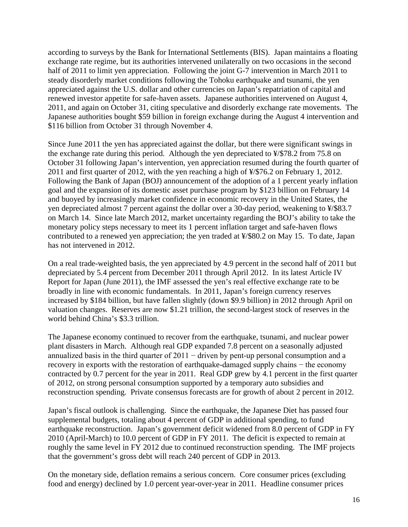according to surveys by the Bank for International Settlements (BIS). Japan maintains a floating exchange rate regime, but its authorities intervened unilaterally on two occasions in the second half of 2011 to limit yen appreciation. Following the joint G-7 intervention in March 2011 to steady disorderly market conditions following the Tohoku earthquake and tsunami, the yen appreciated against the U.S. dollar and other currencies on Japan's repatriation of capital and renewed investor appetite for safe-haven assets. Japanese authorities intervened on August 4, 2011, and again on October 31, citing speculative and disorderly exchange rate movements. The Japanese authorities bought \$59 billion in foreign exchange during the August 4 intervention and \$116 billion from October 31 through November 4.

Since June 2011 the yen has appreciated against the dollar, but there were significant swings in the exchange rate during this period. Although the yen depreciated to ¥/\$78.2 from 75.8 on October 31 following Japan's intervention, yen appreciation resumed during the fourth quarter of 2011 and first quarter of 2012, with the yen reaching a high of ¥/\$76.2 on February 1, 2012. Following the Bank of Japan (BOJ) announcement of the adoption of a 1 percent yearly inflation goal and the expansion of its domestic asset purchase program by \$123 billion on February 14 and buoyed by increasingly market confidence in economic recovery in the United States, the yen depreciated almost 7 percent against the dollar over a 30-day period, weakening to ¥/\$83.7 on March 14. Since late March 2012, market uncertainty regarding the BOJ's ability to take the monetary policy steps necessary to meet its 1 percent inflation target and safe-haven flows contributed to a renewed yen appreciation; the yen traded at ¥/\$80.2 on May 15. To date, Japan has not intervened in 2012.

On a real trade-weighted basis, the yen appreciated by 4.9 percent in the second half of 2011 but depreciated by 5.4 percent from December 2011 through April 2012. In its latest Article IV Report for Japan (June 2011), the IMF assessed the yen's real effective exchange rate to be broadly in line with economic fundamentals. In 2011, Japan's foreign currency reserves increased by \$184 billion, but have fallen slightly (down \$9.9 billion) in 2012 through April on valuation changes. Reserves are now \$1.21 trillion, the second-largest stock of reserves in the world behind China's \$3.3 trillion.

The Japanese economy continued to recover from the earthquake, tsunami, and nuclear power plant disasters in March. Although real GDP expanded 7.8 percent on a seasonally adjusted annualized basis in the third quarter of  $2011 -$  driven by pent-up personal consumption and a recovery in exports with the restoration of earthquake-damaged supply chains − the economy contracted by 0.7 percent for the year in 2011. Real GDP grew by 4.1 percent in the first quarter of 2012, on strong personal consumption supported by a temporary auto subsidies and reconstruction spending. Private consensus forecasts are for growth of about 2 percent in 2012.

Japan's fiscal outlook is challenging. Since the earthquake, the Japanese Diet has passed four supplemental budgets, totaling about 4 percent of GDP in additional spending, to fund earthquake reconstruction. Japan's government deficit widened from 8.0 percent of GDP in FY 2010 (April-March) to 10.0 percent of GDP in FY 2011. The deficit is expected to remain at roughly the same level in FY 2012 due to continued reconstruction spending. The IMF projects that the government's gross debt will reach 240 percent of GDP in 2013.

On the monetary side, deflation remains a serious concern. Core consumer prices (excluding food and energy) declined by 1.0 percent year-over-year in 2011. Headline consumer prices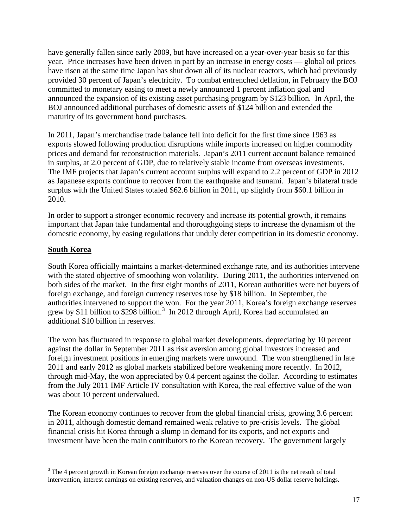have generally fallen since early 2009, but have increased on a year-over-year basis so far this year. Price increases have been driven in part by an increase in energy costs — global oil prices have risen at the same time Japan has shut down all of its nuclear reactors, which had previously provided 30 percent of Japan's electricity. To combat entrenched deflation, in February the BOJ committed to monetary easing to meet a newly announced 1 percent inflation goal and announced the expansion of its existing asset purchasing program by \$123 billion. In April, the BOJ announced additional purchases of domestic assets of \$124 billion and extended the maturity of its government bond purchases.

In 2011, Japan's merchandise trade balance fell into deficit for the first time since 1963 as exports slowed following production disruptions while imports increased on higher commodity prices and demand for reconstruction materials. Japan's 2011 current account balance remained in surplus, at 2.0 percent of GDP, due to relatively stable income from overseas investments. The IMF projects that Japan's current account surplus will expand to 2.2 percent of GDP in 2012 as Japanese exports continue to recover from the earthquake and tsunami. Japan's bilateral trade surplus with the United States totaled \$62.6 billion in 2011, up slightly from \$60.1 billion in 2010.

In order to support a stronger economic recovery and increase its potential growth, it remains important that Japan take fundamental and thoroughgoing steps to increase the dynamism of the domestic economy, by easing regulations that unduly deter competition in its domestic economy.

## <span id="page-17-0"></span>**South Korea**

South Korea officially maintains a market-determined exchange rate, and its authorities intervene with the stated objective of smoothing won volatility. During 2011, the authorities intervened on both sides of the market. In the first eight months of 2011, Korean authorities were net buyers of foreign exchange, and foreign currency reserves rose by \$18 billion. In September, the authorities intervened to support the won. For the year 2011, Korea's foreign exchange reserves grew by \$11 billion to \$298 billion.<sup>[3](#page-14-0)</sup> In 2012 through April, Korea had accumulated an additional \$10 billion in reserves.

The won has fluctuated in response to global market developments, depreciating by 10 percent against the dollar in September 2011 as risk aversion among global investors increased and foreign investment positions in emerging markets were unwound. The won strengthened in late 2011 and early 2012 as global markets stabilized before weakening more recently. In 2012, through mid-May, the won appreciated by 0.4 percent against the dollar. According to estimates from the July 2011 IMF Article IV consultation with Korea, the real effective value of the won was about 10 percent undervalued.

The Korean economy continues to recover from the global financial crisis, growing 3.6 percent in 2011, although domestic demand remained weak relative to pre-crisis levels. The global financial crisis hit Korea through a slump in demand for its exports, and net exports and investment have been the main contributors to the Korean recovery. The government largely

<sup>&</sup>lt;sup>3</sup> The 4 percent growth in Korean foreign exchange reserves over the course of 2011 is the net result of total intervention, interest earnings on existing reserves, and valuation changes on non-US dollar reserve holdings.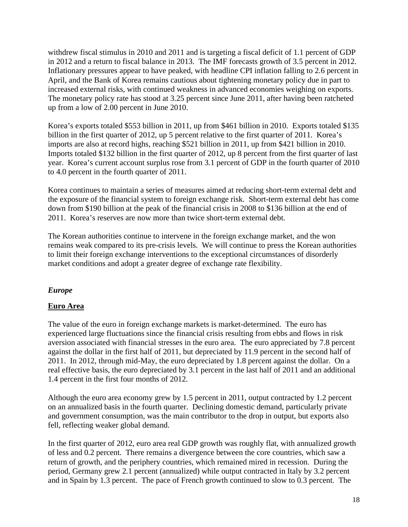withdrew fiscal stimulus in 2010 and 2011 and is targeting a fiscal deficit of 1.1 percent of GDP in 2012 and a return to fiscal balance in 2013. The IMF forecasts growth of 3.5 percent in 2012. Inflationary pressures appear to have peaked, with headline CPI inflation falling to 2.6 percent in April, and the Bank of Korea remains cautious about tightening monetary policy due in part to increased external risks, with continued weakness in advanced economies weighing on exports. The monetary policy rate has stood at 3.25 percent since June 2011, after having been ratcheted up from a low of 2.00 percent in June 2010.

Korea's exports totaled \$553 billion in 2011, up from \$461 billion in 2010. Exports totaled \$135 billion in the first quarter of 2012, up 5 percent relative to the first quarter of 2011. Korea's imports are also at record highs, reaching \$521 billion in 2011, up from \$421 billion in 2010. Imports totaled \$132 billion in the first quarter of 2012, up 8 percent from the first quarter of last year. Korea's current account surplus rose from 3.1 percent of GDP in the fourth quarter of 2010 to 4.0 percent in the fourth quarter of 2011.

Korea continues to maintain a series of measures aimed at reducing short-term external debt and the exposure of the financial system to foreign exchange risk. Short-term external debt has come down from \$190 billion at the peak of the financial crisis in 2008 to \$136 billion at the end of 2011. Korea's reserves are now more than twice short-term external debt.

The Korean authorities continue to intervene in the foreign exchange market, and the won remains weak compared to its pre-crisis levels. We will continue to press the Korean authorities to limit their foreign exchange interventions to the exceptional circumstances of disorderly market conditions and adopt a greater degree of exchange rate flexibility.

## <span id="page-18-0"></span>*Europe*

## <span id="page-18-1"></span>**Euro Area**

The value of the euro in foreign exchange markets is market-determined. The euro has experienced large fluctuations since the financial crisis resulting from ebbs and flows in risk aversion associated with financial stresses in the euro area. The euro appreciated by 7.8 percent against the dollar in the first half of 2011, but depreciated by 11.9 percent in the second half of 2011. In 2012, through mid-May, the euro depreciated by 1.8 percent against the dollar. On a real effective basis, the euro depreciated by 3.1 percent in the last half of 2011 and an additional 1.4 percent in the first four months of 2012.

Although the euro area economy grew by 1.5 percent in 2011, output contracted by 1.2 percent on an annualized basis in the fourth quarter. Declining domestic demand, particularly private and government consumption, was the main contributor to the drop in output, but exports also fell, reflecting weaker global demand.

In the first quarter of 2012, euro area real GDP growth was roughly flat, with annualized growth of less and 0.2 percent. There remains a divergence between the core countries, which saw a return of growth, and the periphery countries, which remained mired in recession. During the period, Germany grew 2.1 percent (annualized) while output contracted in Italy by 3.2 percent and in Spain by 1.3 percent. The pace of French growth continued to slow to 0.3 percent. The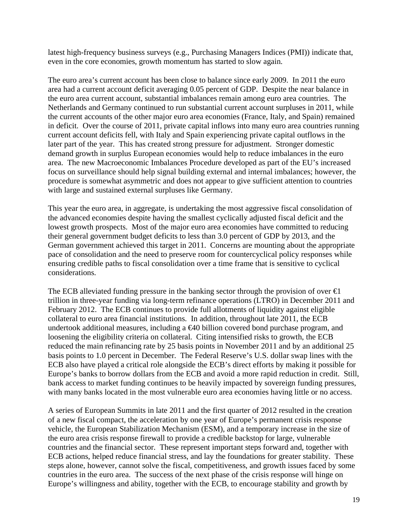latest high-frequency business surveys (e.g., Purchasing Managers Indices (PMI)) indicate that, even in the core economies, growth momentum has started to slow again.

The euro area's current account has been close to balance since early 2009. In 2011 the euro area had a current account deficit averaging 0.05 percent of GDP. Despite the near balance in the euro area current account, substantial imbalances remain among euro area countries. The Netherlands and Germany continued to run substantial current account surpluses in 2011, while the current accounts of the other major euro area economies (France, Italy, and Spain) remained in deficit. Over the course of 2011, private capital inflows into many euro area countries running current account deficits fell, with Italy and Spain experiencing private capital outflows in the later part of the year. This has created strong pressure for adjustment. Stronger domestic demand growth in surplus European economies would help to reduce imbalances in the euro area. The new Macroeconomic Imbalances Procedure developed as part of the EU's increased focus on surveillance should help signal building external and internal imbalances; however, the procedure is somewhat asymmetric and does not appear to give sufficient attention to countries with large and sustained external surpluses like Germany.

This year the euro area, in aggregate, is undertaking the most aggressive fiscal consolidation of the advanced economies despite having the smallest cyclically adjusted fiscal deficit and the lowest growth prospects. Most of the major euro area economies have committed to reducing their general government budget deficits to less than 3.0 percent of GDP by 2013, and the German government achieved this target in 2011. Concerns are mounting about the appropriate pace of consolidation and the need to preserve room for countercyclical policy responses while ensuring credible paths to fiscal consolidation over a time frame that is sensitive to cyclical considerations.

The ECB alleviated funding pressure in the banking sector through the provision of over  $\bigoplus$ trillion in three-year funding via long-term refinance operations (LTRO) in December 2011 and February 2012. The ECB continues to provide full allotments of liquidity against eligible collateral to euro area financial institutions. In addition, throughout late 2011, the ECB undertook additional measures, including a  $\epsilon$ 40 billion covered bond purchase program, and loosening the eligibility criteria on collateral. Citing intensified risks to growth, the ECB reduced the main refinancing rate by 25 basis points in November 2011 and by an additional 25 basis points to 1.0 percent in December. The Federal Reserve's U.S. dollar swap lines with the ECB also have played a critical role alongside the ECB's direct efforts by making it possible for Europe's banks to borrow dollars from the ECB and avoid a more rapid reduction in credit. Still, bank access to market funding continues to be heavily impacted by sovereign funding pressures, with many banks located in the most vulnerable euro area economies having little or no access.

A series of European Summits in late 2011 and the first quarter of 2012 resulted in the creation of a new fiscal compact, the acceleration by one year of Europe's permanent crisis response vehicle, the European Stabilization Mechanism (ESM), and a temporary increase in the size of the euro area crisis response firewall to provide a credible backstop for large, vulnerable countries and the financial sector. These represent important steps forward and, together with ECB actions, helped reduce financial stress, and lay the foundations for greater stability. These steps alone, however, cannot solve the fiscal, competitiveness, and growth issues faced by some countries in the euro area. The success of the next phase of the crisis response will hinge on Europe's willingness and ability, together with the ECB, to encourage stability and growth by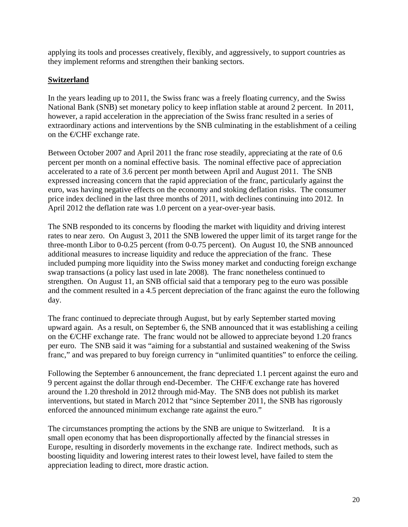applying its tools and processes creatively, flexibly, and aggressively, to support countries as they implement reforms and strengthen their banking sectors.

## <span id="page-20-0"></span>**Switzerland**

In the years leading up to 2011, the Swiss franc was a freely floating currency, and the Swiss National Bank (SNB) set monetary policy to keep inflation stable at around 2 percent. In 2011, however, a rapid acceleration in the appreciation of the Swiss franc resulted in a series of extraordinary actions and interventions by the SNB culminating in the establishment of a ceiling on the  $\bigoplus$ CHF exchange rate.

Between October 2007 and April 2011 the franc rose steadily, appreciating at the rate of 0.6 percent per month on a nominal effective basis. The nominal effective pace of appreciation accelerated to a rate of 3.6 percent per month between April and August 2011. The SNB expressed increasing concern that the rapid appreciation of the franc, particularly against the euro, was having negative effects on the economy and stoking deflation risks. The consumer price index declined in the last three months of 2011, with declines continuing into 2012. In April 2012 the deflation rate was 1.0 percent on a year-over-year basis.

The SNB responded to its concerns by flooding the market with liquidity and driving interest rates to near zero. On August 3, 2011 the SNB lowered the upper limit of its target range for the three-month Libor to 0-0.25 percent (from 0-0.75 percent). On August 10, the SNB announced additional measures to increase liquidity and reduce the appreciation of the franc. These included pumping more liquidity into the Swiss money market and conducting foreign exchange swap transactions (a policy last used in late 2008). The franc nonetheless continued to strengthen. On August 11, an SNB official said that a temporary peg to the euro was possible and the comment resulted in a 4.5 percent depreciation of the franc against the euro the following day.

The franc continued to depreciate through August, but by early September started moving upward again. As a result, on September 6, the SNB announced that it was establishing a ceiling on the  $\epsilon$ CHF exchange rate. The franc would not be allowed to appreciate beyond 1.20 francs per euro. The SNB said it was "aiming for a substantial and sustained weakening of the Swiss franc," and was prepared to buy foreign currency in "unlimited quantities" to enforce the ceiling.

Following the September 6 announcement, the franc depreciated 1.1 percent against the euro and 9 percent against the dollar through end-December. The CHF/€ exchange rate has hovered around the 1.20 threshold in 2012 through mid-May. The SNB does not publish its market interventions, but stated in March 2012 that "since September 2011, the SNB has rigorously enforced the announced minimum exchange rate against the euro."

The circumstances prompting the actions by the SNB are unique to Switzerland. It is a small open economy that has been disproportionally affected by the financial stresses in Europe, resulting in disorderly movements in the exchange rate. Indirect methods, such as boosting liquidity and lowering interest rates to their lowest level, have failed to stem the appreciation leading to direct, more drastic action.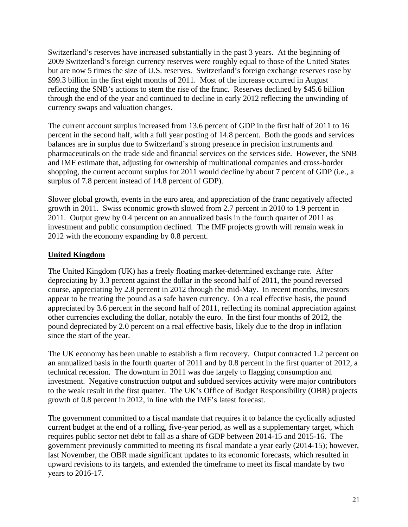Switzerland's reserves have increased substantially in the past 3 years. At the beginning of 2009 Switzerland's foreign currency reserves were roughly equal to those of the United States but are now 5 times the size of U.S. reserves. Switzerland's foreign exchange reserves rose by \$99.3 billion in the first eight months of 2011. Most of the increase occurred in August reflecting the SNB's actions to stem the rise of the franc. Reserves declined by \$45.6 billion through the end of the year and continued to decline in early 2012 reflecting the unwinding of currency swaps and valuation changes.

The current account surplus increased from 13.6 percent of GDP in the first half of 2011 to 16 percent in the second half, with a full year posting of 14.8 percent. Both the goods and services balances are in surplus due to Switzerland's strong presence in precision instruments and pharmaceuticals on the trade side and financial services on the services side. However, the SNB and IMF estimate that, adjusting for ownership of multinational companies and cross-border shopping, the current account surplus for 2011 would decline by about 7 percent of GDP (i.e., a surplus of 7.8 percent instead of 14.8 percent of GDP).

Slower global growth, events in the euro area, and appreciation of the franc negatively affected growth in 2011. Swiss economic growth slowed from 2.7 percent in 2010 to 1.9 percent in 2011. Output grew by 0.4 percent on an annualized basis in the fourth quarter of 2011 as investment and public consumption declined. The IMF projects growth will remain weak in 2012 with the economy expanding by 0.8 percent.

## <span id="page-21-0"></span>**United Kingdom**

The United Kingdom (UK) has a freely floating market-determined exchange rate. After depreciating by 3.3 percent against the dollar in the second half of 2011, the pound reversed course, appreciating by 2.8 percent in 2012 through the mid-May. In recent months, investors appear to be treating the pound as a safe haven currency. On a real effective basis, the pound appreciated by 3.6 percent in the second half of 2011, reflecting its nominal appreciation against other currencies excluding the dollar, notably the euro. In the first four months of 2012, the pound depreciated by 2.0 percent on a real effective basis, likely due to the drop in inflation since the start of the year.

The UK economy has been unable to establish a firm recovery. Output contracted 1.2 percent on an annualized basis in the fourth quarter of 2011 and by 0.8 percent in the first quarter of 2012, a technical recession. The downturn in 2011 was due largely to flagging consumption and investment. Negative construction output and subdued services activity were major contributors to the weak result in the first quarter. The UK's Office of Budget Responsibility (OBR) projects growth of 0.8 percent in 2012, in line with the IMF's latest forecast.

The government committed to a fiscal mandate that requires it to balance the cyclically adjusted current budget at the end of a rolling, five-year period, as well as a supplementary target, which requires public sector net debt to fall as a share of GDP between 2014-15 and 2015-16. The government previously committed to meeting its fiscal mandate a year early (2014-15); however, last November, the OBR made significant updates to its economic forecasts, which resulted in upward revisions to its targets, and extended the timeframe to meet its fiscal mandate by two years to 2016-17.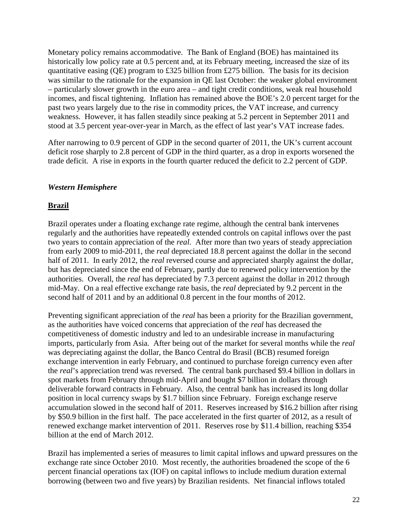Monetary policy remains accommodative. The Bank of England (BOE) has maintained its historically low policy rate at 0.5 percent and, at its February meeting, increased the size of its quantitative easing (QE) program to £325 billion from £275 billion. The basis for its decision was similar to the rationale for the expansion in QE last October: the weaker global environment – particularly slower growth in the euro area – and tight credit conditions, weak real household incomes, and fiscal tightening. Inflation has remained above the BOE's 2.0 percent target for the past two years largely due to the rise in commodity prices, the VAT increase, and currency weakness. However, it has fallen steadily since peaking at 5.2 percent in September 2011 and stood at 3.5 percent year-over-year in March, as the effect of last year's VAT increase fades.

After narrowing to 0.9 percent of GDP in the second quarter of 2011, the UK's current account deficit rose sharply to 2.8 percent of GDP in the third quarter, as a drop in exports worsened the trade deficit. A rise in exports in the fourth quarter reduced the deficit to 2.2 percent of GDP.

## <span id="page-22-0"></span>*Western Hemisphere*

#### <span id="page-22-1"></span>**Brazil**

Brazil operates under a floating exchange rate regime, although the central bank intervenes regularly and the authorities have repeatedly extended controls on capital inflows over the past two years to contain appreciation of the *real*. After more than two years of steady appreciation from early 2009 to mid-2011, the *real* depreciated 18.8 percent against the dollar in the second half of 2011. In early 2012, the *real* reversed course and appreciated sharply against the dollar, but has depreciated since the end of February, partly due to renewed policy intervention by the authorities. Overall, the *real* has depreciated by 7.3 percent against the dollar in 2012 through mid-May. On a real effective exchange rate basis, the *real* depreciated by 9.2 percent in the second half of 2011 and by an additional 0.8 percent in the four months of 2012.

Preventing significant appreciation of the *real* has been a priority for the Brazilian government, as the authorities have voiced concerns that appreciation of the *real* has decreased the competitiveness of domestic industry and led to an undesirable increase in manufacturing imports, particularly from Asia. After being out of the market for several months while the *real*  was depreciating against the dollar, the Banco Central do Brasil (BCB) resumed foreign exchange intervention in early February, and continued to purchase foreign currency even after the *real*'s appreciation trend was reversed. The central bank purchased \$9.4 billion in dollars in spot markets from February through mid-April and bought \$7 billion in dollars through deliverable forward contracts in February. Also, the central bank has increased its long dollar position in local currency swaps by \$1.7 billion since February. Foreign exchange reserve accumulation slowed in the second half of 2011. Reserves increased by \$16.2 billion after rising by \$50.9 billion in the first half. The pace accelerated in the first quarter of 2012, as a result of renewed exchange market intervention of 2011. Reserves rose by \$11.4 billion, reaching \$354 billion at the end of March 2012.

Brazil has implemented a series of measures to limit capital inflows and upward pressures on the exchange rate since October 2010. Most recently, the authorities broadened the scope of the 6 percent financial operations tax (IOF) on capital inflows to include medium duration external borrowing (between two and five years) by Brazilian residents. Net financial inflows totaled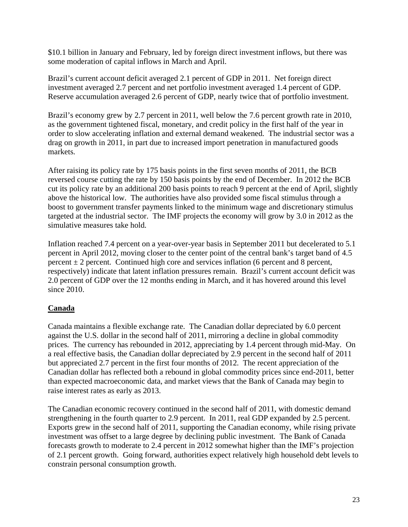\$10.1 billion in January and February, led by foreign direct investment inflows, but there was some moderation of capital inflows in March and April.

Brazil's current account deficit averaged 2.1 percent of GDP in 2011. Net foreign direct investment averaged 2.7 percent and net portfolio investment averaged 1.4 percent of GDP. Reserve accumulation averaged 2.6 percent of GDP, nearly twice that of portfolio investment.

Brazil's economy grew by 2.7 percent in 2011, well below the 7.6 percent growth rate in 2010, as the government tightened fiscal, monetary, and credit policy in the first half of the year in order to slow accelerating inflation and external demand weakened. The industrial sector was a drag on growth in 2011, in part due to increased import penetration in manufactured goods markets.

After raising its policy rate by 175 basis points in the first seven months of 2011, the BCB reversed course cutting the rate by 150 basis points by the end of December. In 2012 the BCB cut its policy rate by an additional 200 basis points to reach 9 percent at the end of April, slightly above the historical low. The authorities have also provided some fiscal stimulus through a boost to government transfer payments linked to the minimum wage and discretionary stimulus targeted at the industrial sector. The IMF projects the economy will grow by 3.0 in 2012 as the simulative measures take hold.

Inflation reached 7.4 percent on a year-over-year basis in September 2011 but decelerated to 5.1 percent in April 2012, moving closer to the center point of the central bank's target band of 4.5 percent  $\pm 2$  percent. Continued high core and services inflation (6 percent and 8 percent, respectively) indicate that latent inflation pressures remain. Brazil's current account deficit was 2.0 percent of GDP over the 12 months ending in March, and it has hovered around this level since 2010.

## <span id="page-23-0"></span>**Canada**

Canada maintains a flexible exchange rate. The Canadian dollar depreciated by 6.0 percent against the U.S. dollar in the second half of 2011, mirroring a decline in global commodity prices. The currency has rebounded in 2012, appreciating by 1.4 percent through mid-May. On a real effective basis, the Canadian dollar depreciated by 2.9 percent in the second half of 2011 but appreciated 2.7 percent in the first four months of 2012. The recent appreciation of the Canadian dollar has reflected both a rebound in global commodity prices since end-2011, better than expected macroeconomic data, and market views that the Bank of Canada may begin to raise interest rates as early as 2013.

The Canadian economic recovery continued in the second half of 2011, with domestic demand strengthening in the fourth quarter to 2.9 percent. In 2011, real GDP expanded by 2.5 percent. Exports grew in the second half of 2011, supporting the Canadian economy, while rising private investment was offset to a large degree by declining public investment. The Bank of Canada forecasts growth to moderate to 2.4 percent in 2012 somewhat higher than the IMF's projection of 2.1 percent growth. Going forward, authorities expect relatively high household debt levels to constrain personal consumption growth.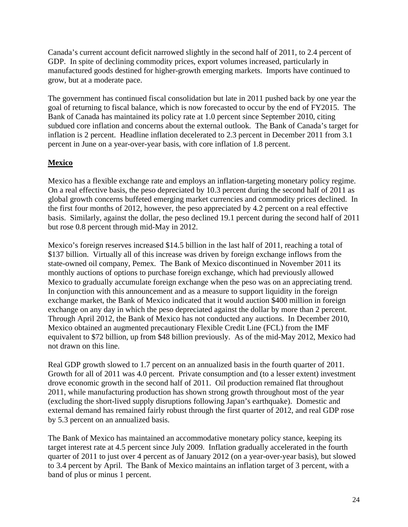Canada's current account deficit narrowed slightly in the second half of 2011, to 2.4 percent of GDP. In spite of declining commodity prices, export volumes increased, particularly in manufactured goods destined for higher-growth emerging markets. Imports have continued to grow, but at a moderate pace.

The government has continued fiscal consolidation but late in 2011 pushed back by one year the goal of returning to fiscal balance, which is now forecasted to occur by the end of FY2015. The Bank of Canada has maintained its policy rate at 1.0 percent since September 2010, citing subdued core inflation and concerns about the external outlook. The Bank of Canada's target for inflation is 2 percent. Headline inflation decelerated to 2.3 percent in December 2011 from 3.1 percent in June on a year-over-year basis, with core inflation of 1.8 percent.

## <span id="page-24-0"></span>**Mexico**

Mexico has a flexible exchange rate and employs an inflation-targeting monetary policy regime. On a real effective basis, the peso depreciated by 10.3 percent during the second half of 2011 as global growth concerns buffeted emerging market currencies and commodity prices declined. In the first four months of 2012, however, the peso appreciated by 4.2 percent on a real effective basis. Similarly, against the dollar, the peso declined 19.1 percent during the second half of 2011 but rose 0.8 percent through mid-May in 2012.

Mexico's foreign reserves increased \$14.5 billion in the last half of 2011, reaching a total of \$137 billion. Virtually all of this increase was driven by foreign exchange inflows from the state-owned oil company, Pemex. The Bank of Mexico discontinued in November 2011 its monthly auctions of options to purchase foreign exchange, which had previously allowed Mexico to gradually accumulate foreign exchange when the peso was on an appreciating trend. In conjunction with this announcement and as a measure to support liquidity in the foreign exchange market, the Bank of Mexico indicated that it would auction \$400 million in foreign exchange on any day in which the peso depreciated against the dollar by more than 2 percent. Through April 2012, the Bank of Mexico has not conducted any auctions. In December 2010, Mexico obtained an augmented precautionary Flexible Credit Line (FCL) from the IMF equivalent to \$72 billion, up from \$48 billion previously. As of the mid-May 2012, Mexico had not drawn on this line.

Real GDP growth slowed to 1.7 percent on an annualized basis in the fourth quarter of 2011. Growth for all of 2011 was 4.0 percent. Private consumption and (to a lesser extent) investment drove economic growth in the second half of 2011. Oil production remained flat throughout 2011, while manufacturing production has shown strong growth throughout most of the year (excluding the short-lived supply disruptions following Japan's earthquake). Domestic and external demand has remained fairly robust through the first quarter of 2012, and real GDP rose by 5.3 percent on an annualized basis.

The Bank of Mexico has maintained an accommodative monetary policy stance, keeping its target interest rate at 4.5 percent since July 2009. Inflation gradually accelerated in the fourth quarter of 2011 to just over 4 percent as of January 2012 (on a year-over-year basis), but slowed to 3.4 percent by April. The Bank of Mexico maintains an inflation target of 3 percent, with a band of plus or minus 1 percent.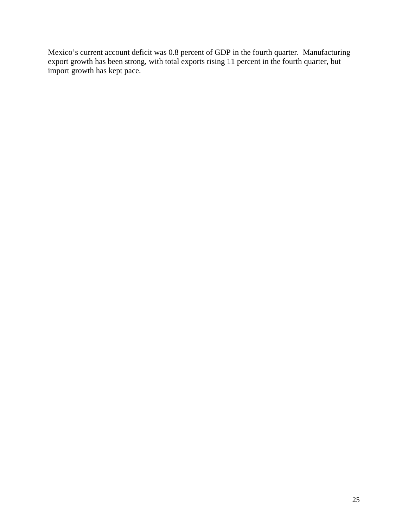Mexico's current account deficit was 0.8 percent of GDP in the fourth quarter. Manufacturing export growth has been strong, with total exports rising 11 percent in the fourth quarter, but import growth has kept pace.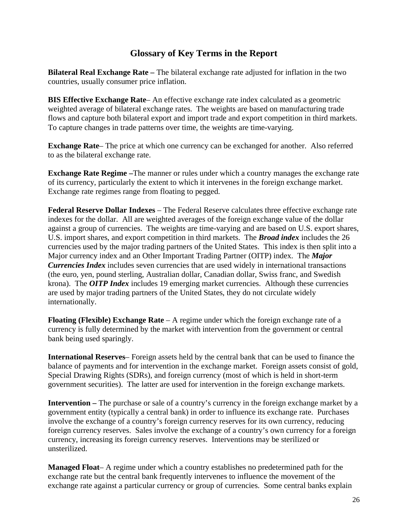## **Glossary of Key Terms in the Report**

<span id="page-26-0"></span>**Bilateral Real Exchange Rate –** The bilateral exchange rate adjusted for inflation in the two countries, usually consumer price inflation.

**BIS Effective Exchange Rate**– An effective exchange rate index calculated as a geometric weighted average of bilateral exchange rates. The weights are based on manufacturing trade flows and capture both bilateral export and import trade and export competition in third markets. To capture changes in trade patterns over time, the weights are time-varying.

**Exchange Rate–** The price at which one currency can be exchanged for another. Also referred to as the bilateral exchange rate.

**Exchange Rate Regime –**The manner or rules under which a country manages the exchange rate of its currency, particularly the extent to which it intervenes in the foreign exchange market. Exchange rate regimes range from floating to pegged.

**Federal Reserve Dollar Indexes** – The Federal Reserve calculates three effective exchange rate indexes for the dollar. All are weighted averages of the foreign exchange value of the dollar against a group of currencies. The weights are time-varying and are based on U.S. export shares, U.S. import shares, and export competition in third markets. The *Broad index* includes the 26 currencies used by the major trading partners of the United States. This index is then split into a Major currency index and an Other Important Trading Partner (OITP) index. The *Major Currencies Index* includes seven currencies that are used widely in international transactions (the euro, yen, pound sterling, Australian dollar, Canadian dollar, Swiss franc, and Swedish krona). The *OITP Index* includes 19 emerging market currencies. Although these currencies are used by major trading partners of the United States, they do not circulate widely internationally.

**Floating (Flexible) Exchange Rate** – A regime under which the foreign exchange rate of a currency is fully determined by the market with intervention from the government or central bank being used sparingly.

**International Reserves**– Foreign assets held by the central bank that can be used to finance the balance of payments and for intervention in the exchange market. Foreign assets consist of gold, Special Drawing Rights (SDRs), and foreign currency (most of which is held in short-term government securities). The latter are used for intervention in the foreign exchange markets.

**Intervention –** The purchase or sale of a country's currency in the foreign exchange market by a government entity (typically a central bank) in order to influence its exchange rate. Purchases involve the exchange of a country's foreign currency reserves for its own currency, reducing foreign currency reserves. Sales involve the exchange of a country's own currency for a foreign currency, increasing its foreign currency reserves. Interventions may be sterilized or unsterilized.

**Managed Float**– A regime under which a country establishes no predetermined path for the exchange rate but the central bank frequently intervenes to influence the movement of the exchange rate against a particular currency or group of currencies. Some central banks explain